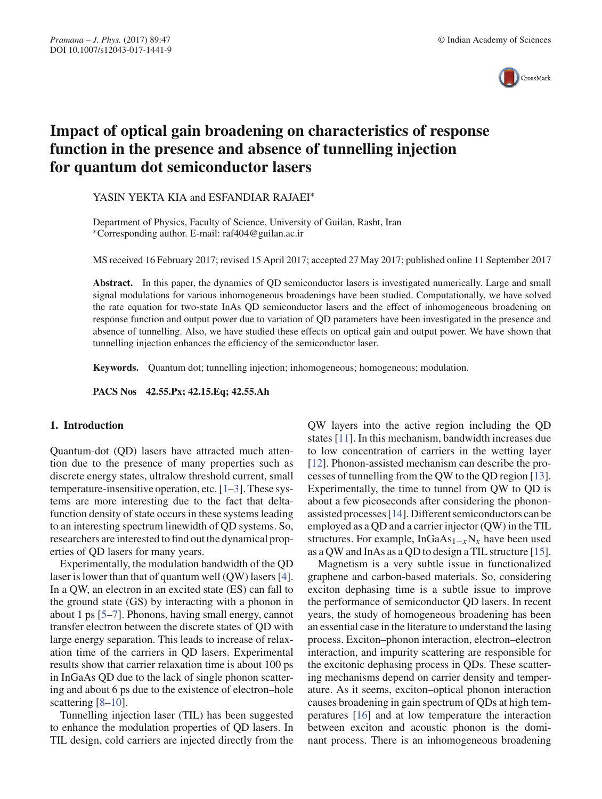

# **Impact of optical gain broadening on characteristics of response function in the presence and absence of tunnelling injection for quantum dot semiconductor lasers**

YASIN YEKTA KIA and ESFANDIAR RAJAEI<sup>∗</sup>

Department of Physics, Faculty of Science, University of Guilan, Rasht, Iran ∗Corresponding author. E-mail: raf404@guilan.ac.ir

MS received 16 February 2017; revised 15 April 2017; accepted 27 May 2017; published online 11 September 2017

**Abstract.** In this paper, the dynamics of QD semiconductor lasers is investigated numerically. Large and small signal modulations for various inhomogeneous broadenings have been studied. Computationally, we have solved the rate equation for two-state InAs QD semiconductor lasers and the effect of inhomogeneous broadening on response function and output power due to variation of QD parameters have been investigated in the presence and absence of tunnelling. Also, we have studied these effects on optical gain and output power. We have shown that tunnelling injection enhances the efficiency of the semiconductor laser.

**Keywords.** Quantum dot; tunnelling injection; inhomogeneous; homogeneous; modulation.

**PACS Nos 42.55.Px; 42.15.Eq; 42.55.Ah**

### **1. Introduction**

Quantum-dot (QD) lasers have attracted much attention due to the presence of many properties such as discrete energy states, ultralow threshold current, small temperature-insensitive operation, etc. [1–3]. These systems are more interesting due to the fact that deltafunction density of state occurs in these systems leading to an interesting spectrum linewidth of QD systems. So, researchers are interested to find out the dynamical properties of QD lasers for many years.

Experimentally, the modulation bandwidth of the QD laser is lower than that of quantum well (QW) lasers [4]. In a QW, an electron in an excited state (ES) can fall to the ground state (GS) by interacting with a phonon in about 1 ps [5–7]. Phonons, having small energy, cannot transfer electron between the discrete states of QD with large energy separation. This leads to increase of relaxation time of the carriers in QD lasers. Experimental results show that carrier relaxation time is about 100 ps in InGaAs QD due to the lack of single phonon scattering and about 6 ps due to the existence of electron–hole scattering [8–10].

Tunnelling injection laser (TIL) has been suggested to enhance the modulation properties of QD lasers. In TIL design, cold carriers are injected directly from the QW layers into the active region including the QD states [11]. In this mechanism, bandwidth increases due to low concentration of carriers in the wetting layer [12]. Phonon-assisted mechanism can describe the processes of tunnelling from the QW to the QD region [13]. Experimentally, the time to tunnel from QW to QD is about a few picoseconds after considering the phononassisted processes [14]. Different semiconductors can be employed as a QD and a carrier injector (QW) in the TIL structures. For example, InGaAs1−*x*N*<sup>x</sup>* have been used as a QW and InAs as a QD to design a TIL structure [15].

Magnetism is a very subtle issue in functionalized graphene and carbon-based materials. So, considering exciton dephasing time is a subtle issue to improve the performance of semiconductor QD lasers. In recent years, the study of homogeneous broadening has been an essential case in the literature to understand the lasing process. Exciton–phonon interaction, electron–electron interaction, and impurity scattering are responsible for the excitonic dephasing process in QDs. These scattering mechanisms depend on carrier density and temperature. As it seems, exciton–optical phonon interaction causes broadening in gain spectrum of QDs at high temperatures [16] and at low temperature the interaction between exciton and acoustic phonon is the dominant process. There is an inhomogeneous broadening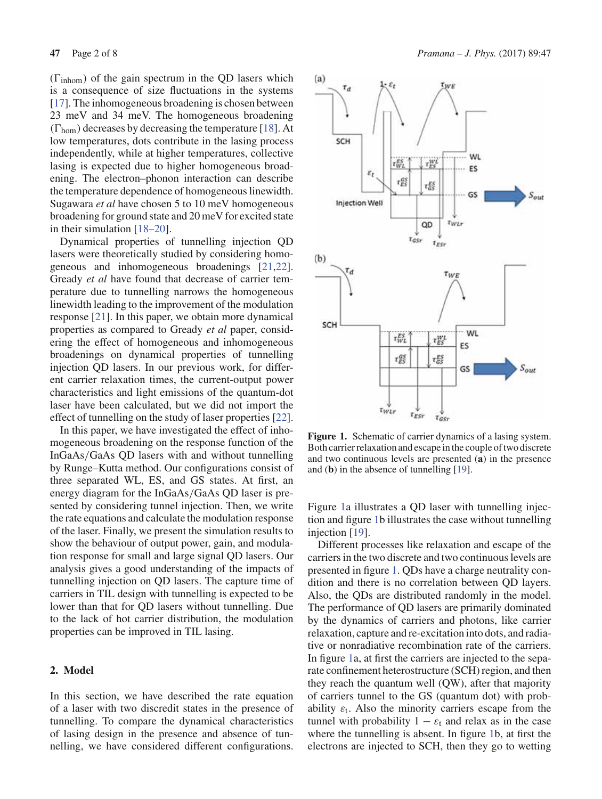$(\Gamma_{\text{inhom}})$  of the gain spectrum in the QD lasers which is a consequence of size fluctuations in the systems [17]. The inhomogeneous broadening is chosen between 23 meV and 34 meV. The homogeneous broadening  $(\Gamma_{\text{hom}})$  decreases by decreasing the temperature [18]. At low temperatures, dots contribute in the lasing process independently, while at higher temperatures, collective lasing is expected due to higher homogeneous broadening. The electron–phonon interaction can describe the temperature dependence of homogeneous linewidth. Sugawara *et al* have chosen 5 to 10 meV homogeneous broadening for ground state and 20 meV for excited state in their simulation [18–20].

Dynamical properties of tunnelling injection QD lasers were theoretically studied by considering homogeneous and inhomogeneous broadenings [21,22]. Gready *et al* have found that decrease of carrier temperature due to tunnelling narrows the homogeneous linewidth leading to the improvement of the modulation response [21]. In this paper, we obtain more dynamical properties as compared to Gready *et al* paper, considering the effect of homogeneous and inhomogeneous broadenings on dynamical properties of tunnelling injection QD lasers. In our previous work, for different carrier relaxation times, the current-output power characteristics and light emissions of the quantum-dot laser have been calculated, but we did not import the effect of tunnelling on the study of laser properties [22].

In this paper, we have investigated the effect of inhomogeneous broadening on the response function of the InGaAs/GaAs QD lasers with and without tunnelling by Runge–Kutta method. Our configurations consist of three separated WL, ES, and GS states. At first, an energy diagram for the InGaAs/GaAs QD laser is presented by considering tunnel injection. Then, we write the rate equations and calculate the modulation response of the laser. Finally, we present the simulation results to show the behaviour of output power, gain, and modulation response for small and large signal QD lasers. Our analysis gives a good understanding of the impacts of tunnelling injection on QD lasers. The capture time of carriers in TIL design with tunnelling is expected to be lower than that for QD lasers without tunnelling. Due to the lack of hot carrier distribution, the modulation properties can be improved in TIL lasing.

## **2. Model**

In this section, we have described the rate equation of a laser with two discredit states in the presence of tunnelling. To compare the dynamical characteristics of lasing design in the presence and absence of tunnelling, we have considered different configurations.



Figure 1. Schematic of carrier dynamics of a lasing system. Both carrier relaxation and escape in the couple of two discrete and two continuous levels are presented (**a**) in the presence and (**b**) in the absence of tunnelling [19].

Figure 1a illustrates a QD laser with tunnelling injection and figure 1b illustrates the case without tunnelling injection [19].

Different processes like relaxation and escape of the carriers in the two discrete and two continuous levels are presented in figure 1. QDs have a charge neutrality condition and there is no correlation between QD layers. Also, the QDs are distributed randomly in the model. The performance of QD lasers are primarily dominated by the dynamics of carriers and photons, like carrier relaxation, capture and re-excitation into dots, and radiative or nonradiative recombination rate of the carriers. In figure 1a, at first the carriers are injected to the separate confinement heterostructure (SCH) region, and then they reach the quantum well (QW), after that majority of carriers tunnel to the GS (quantum dot) with probability  $\varepsilon_t$ . Also the minority carriers escape from the tunnel with probability  $1 - \varepsilon_t$  and relax as in the case where the tunnelling is absent. In figure 1b, at first the electrons are injected to SCH, then they go to wetting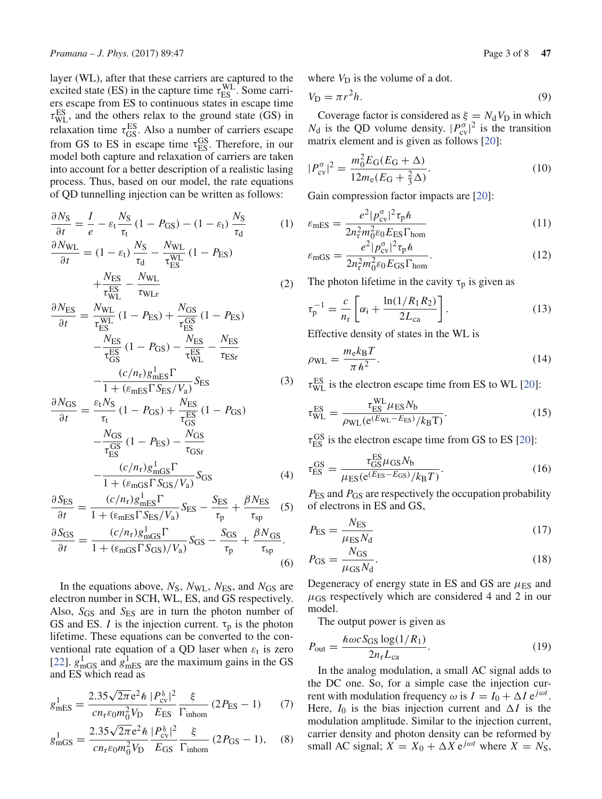layer (WL), after that these carriers are captured to the excited state (ES) in the capture time  $\tau_{ES}^{WL}$ . Some carriers escape from ES to continuous states in escape time  $\tau_{\text{WL}}^{\text{ES}}$ , and the others relax to the ground state (GS) in relaxation time  $\tau_{GS}^{ES}$ . Also a number of carriers escape from GS to ES in escape time  $\tau_{ES}^{GS}$ . Therefore, in our model both capture and relaxation of carriers are taken into account for a better description of a realistic lasing process. Thus, based on our model, the rate equations of QD tunnelling injection can be written as follows:

$$
\frac{\partial N_{\rm S}}{\partial t} = \frac{I}{e} - \varepsilon_{\rm t} \frac{N_{\rm S}}{\tau_{\rm t}} (1 - P_{\rm GS}) - (1 - \varepsilon_{\rm t}) \frac{N_{\rm S}}{\tau_{\rm d}}
$$
(1)  

$$
\frac{\partial N_{\rm WL}}{\partial t} = (1 - \varepsilon_{\rm t}) \frac{N_{\rm S}}{\tau_{\rm d}} - \frac{N_{\rm WL}}{\tau_{\rm ES}^{\rm WL}} (1 - P_{\rm ES}) + \frac{N_{\rm ES}}{\tau_{\rm WL}^{\rm ES}} - \frac{N_{\rm WL}}{\tau_{\rm WL}} \tag{2}
$$

$$
\frac{\partial N_{\rm ES}}{\partial t} = \frac{N_{\rm WL}}{\tau_{\rm ES}^{\rm WL}} (1 - P_{\rm ES}) + \frac{N_{\rm GS}}{\tau_{\rm ES}^{\rm OS}} (1 - P_{\rm ES})
$$

$$
-\frac{N_{\rm ES}}{\tau_{\rm GS}^{\rm ES}} (1 - P_{\rm GS}) - \frac{N_{\rm ES}}{\tau_{\rm WL}^{\rm ES}} - \frac{N_{\rm ES}}{\tau_{\rm ESr}} - \frac{(c/n_{\rm r})g_{\rm mES}^1 \Gamma}{1 + (\varepsilon_{\rm mES} \Gamma S_{\rm ES}/V_{\rm a})} S_{\rm ES}
$$
(3)

$$
\frac{\partial N_{\rm GS}}{\partial t} = \frac{\varepsilon_{\rm t} N_{\rm S}}{\tau_{\rm t}} (1 - P_{\rm GS}) + \frac{N_{\rm ES}}{\tau_{\rm GS}^{\rm ES}} (1 - P_{\rm GS})
$$

$$
-\frac{N_{\rm GS}}{\tau_{\rm ES}^{\rm GS}} (1 - P_{\rm ES}) - \frac{N_{\rm GS}}{\tau_{\rm GSr}}
$$

$$
-\frac{(c/n_{\rm r})g_{\rm mGS}^1 \Gamma}{1 + (\varepsilon_{\rm mGS} \Gamma S_{\rm GS}/V_{\rm a})} S_{\rm GS} \tag{4}
$$

$$
\frac{\partial S_{\text{ES}}}{\partial t} = \frac{(c/n_{\text{r}})g_{\text{mES}}^1 \Gamma}{1 + (\varepsilon_{\text{mES}} \Gamma S_{\text{ES}} / V_a)} S_{\text{ES}} - \frac{S_{\text{ES}}}{\tau_p} + \frac{\beta N_{\text{ES}}}{\tau_{\text{sp}}}
$$
(5)

$$
\frac{\partial S_{\rm GS}}{\partial t} = \frac{(c/n_{\rm r})g_{\rm mGS}^1 \Gamma}{1 + (\epsilon_{\rm mGS} \Gamma S_{\rm GS})/V_{\rm a}} S_{\rm GS} - \frac{S_{\rm GS}}{\tau_{\rm p}} + \frac{\beta N_{\rm GS}}{\tau_{\rm sp}}.
$$
\n(6)

In the equations above,  $N<sub>S</sub>$ ,  $N<sub>WL</sub>$ ,  $N<sub>ES</sub>$ , and  $N<sub>GS</sub>$  are electron number in SCH, WL, ES, and GS respectively. Also,  $S_{GS}$  and  $S_{ES}$  are in turn the photon number of GS and ES. *I* is the injection current.  $\tau_p$  is the photon lifetime. These equations can be converted to the conventional rate equation of a QD laser when  $\varepsilon_t$  is zero [22].  $g_{\text{mGS}}^1$  and  $g_{\text{mES}}^1$  are the maximum gains in the GS and ES which read as

$$
g_{\text{mES}}^1 = \frac{2.35\sqrt{2\pi}e^2h}{cn_r\varepsilon_0m_0^2V_D} \frac{|P_{\text{cv}}^{\delta}|^2}{E_{\text{ES}}} \frac{\xi}{\Gamma_{\text{inhom}}} (2P_{\text{ES}} - 1) \tag{7}
$$

$$
g_{\text{mGS}}^1 = \frac{2.35\sqrt{2\pi}e^2\hbar}{cn_r\varepsilon_0m_0^2V_D} \frac{|P_{\text{cv}}^{\delta}|^2}{E_{\text{GS}}} \frac{\xi}{\Gamma_{\text{inhom}}} (2P_{\text{GS}} - 1), \quad (8)
$$

where  $V_D$  is the volume of a dot.

$$
V_{\mathcal{D}} = \pi r^2 h. \tag{9}
$$

Coverage factor is considered as  $\xi = N_d V_D$  in which  $N_d$  is the QD volume density.  $|P_{cv}^{\sigma}|^2$  is the transition matrix element and is given as follows [20]:

$$
|P_{\text{cv}}^{\sigma}|^2 = \frac{m_0^2 E_{\text{G}}(E_{\text{G}} + \Delta)}{12m_{\text{e}}(E_{\text{G}} + \frac{2}{3}\Delta)}.
$$
 (10)

Gain compression factor impacts are [20]:

$$
\varepsilon_{\rm mES} = \frac{e^2 |p_{\rm cv}^{\sigma}|^2 \tau_{\rm p} \hbar}{2n_{\rm r}^2 m_0^2 \varepsilon_0 E_{\rm ES} \Gamma_{\rm hom}}\tag{11}
$$

$$
\varepsilon_{\text{mGS}} = \frac{e^2 |p_{\text{cv}}^{\sigma}|^2 \tau_{\text{p}} \hbar}{2n_{\text{r}}^2 m_0^2 \varepsilon_0 E_{\text{GS}} \Gamma_{\text{hom}}}.
$$
\n(12)

The photon lifetime in the cavity  $\tau_p$  is given as

$$
\tau_{\rm p}^{-1} = \frac{c}{n_{\rm r}} \left[ \alpha_{\rm i} + \frac{\ln(1/R_1 R_2)}{2L_{\rm ca}} \right]. \tag{13}
$$

Effective density of states in the WL is

$$
\rho_{\rm WL} = \frac{m_{\rm e} k_{\rm B} T}{\pi h^2}.
$$
\n(14)

 $\tau_{\text{WL}}^{\text{ES}}$  is the electron escape time from ES to WL [20]:

$$
\tau_{\text{WL}}^{\text{ES}} = \frac{\tau_{\text{ES}}^{\text{WL}} \mu_{\text{ES}} N_{\text{b}}}{\rho_{\text{WL}} (\text{e}^{(E_{\text{WL}} - E_{\text{ES}})} / k_{\text{B}} \text{T})}.
$$
(15)

 $\tau_{ES}^{GS}$  is the electron escape time from GS to ES [20]:

$$
\tau_{ES}^{GS} = \frac{\tau_{GS}^{ES} \mu_{GS} N_b}{\mu_{ES}(e^{(E_{ES} - E_{GS})}/k_B T)}.
$$
\n(16)

*P*ES and *P*GS are respectively the occupation probability of electrons in ES and GS,

$$
P_{\rm ES} = \frac{N_{\rm ES}}{\mu_{\rm ES} N_{\rm d}}\tag{17}
$$

$$
P_{\rm GS} = \frac{N_{\rm GS}}{\mu_{\rm GS} N_{\rm d}}.\tag{18}
$$

Degeneracy of energy state in ES and GS are  $\mu_{ES}$  and  $\mu$ <sub>GS</sub> respectively which are considered 4 and 2 in our model.

The output power is given as

$$
P_{\text{out}} = \frac{\hbar \omega c S_{\text{GS}} \log(1/R_1)}{2n_{\text{r}} L_{\text{ca}}}.
$$
\n(19)

In the analog modulation, a small AC signal adds to the DC one. So, for a simple case the injection current with modulation frequency  $\omega$  is  $I = I_0 + \Delta I e^{j\omega t}$ . Here,  $I_0$  is the bias injection current and  $\Delta I$  is the modulation amplitude. Similar to the injection current, carrier density and photon density can be reformed by small AC signal;  $X = X_0 + \Delta X e^{j\omega t}$  where  $X = N_S$ ,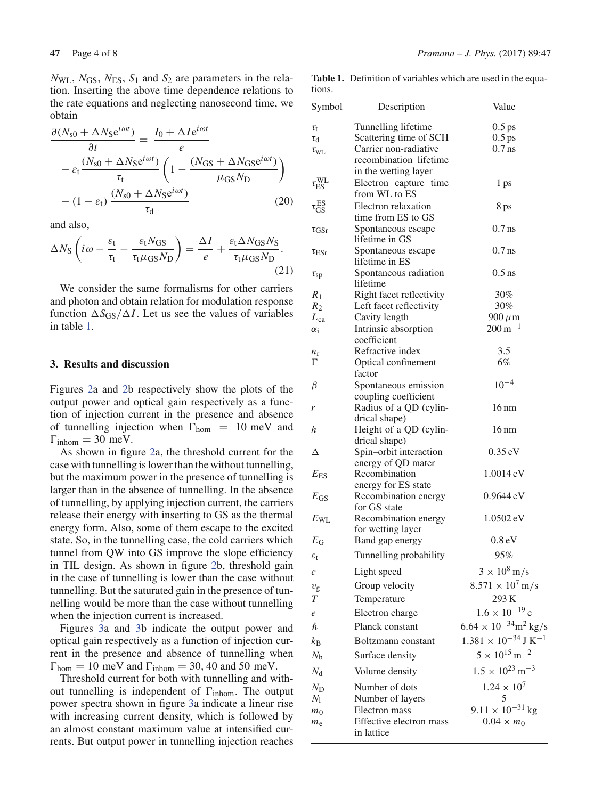$N_{\text{WL}}$ ,  $N_{\text{GS}}$ ,  $N_{\text{ES}}$ ,  $S_1$  and  $S_2$  are parameters in the relation. Inserting the above time dependence relations to the rate equations and neglecting nanosecond time, we obtain

$$
\frac{\partial (N_{\rm s0} + \Delta N_{\rm S} e^{i\omega t})}{\partial t} = \frac{I_0 + \Delta I e^{i\omega t}}{e}
$$

$$
- \varepsilon_{\rm t} \frac{(N_{\rm s0} + \Delta N_{\rm S} e^{i\omega t})}{\tau_{\rm t}} \left(1 - \frac{(N_{\rm GS} + \Delta N_{\rm GS} e^{i\omega t})}{\mu_{\rm GS} N_{\rm D}}\right)
$$

$$
- (1 - \varepsilon_{\rm t}) \frac{(N_{\rm s0} + \Delta N_{\rm S} e^{i\omega t})}{\tau_{\rm d}}
$$
(20)

and also,

$$
\Delta N_{\rm S} \left( i\omega - \frac{\varepsilon_{\rm t}}{\tau_{\rm t}} - \frac{\varepsilon_{\rm t} N_{\rm GS}}{\tau_{\rm t} \mu_{\rm GS} N_{\rm D}} \right) = \frac{\Delta I}{e} + \frac{\varepsilon_{\rm t} \Delta N_{\rm GS} N_{\rm S}}{\tau_{\rm t} \mu_{\rm GS} N_{\rm D}}.
$$
\n(21)

We consider the same formalisms for other carriers and photon and obtain relation for modulation response function  $\Delta S_{GS}/\Delta I$ . Let us see the values of variables in table 1.

# **3. Results and discussion**

Figures 2a and 2b respectively show the plots of the output power and optical gain respectively as a function of injection current in the presence and absence of tunnelling injection when  $\Gamma_{\text{hom}} = 10 \text{ meV}$  and  $\Gamma_{\text{inhom}} = 30 \text{ meV}.$ 

As shown in figure 2a, the threshold current for the case with tunnelling is lower than the without tunnelling, but the maximum power in the presence of tunnelling is larger than in the absence of tunnelling. In the absence of tunnelling, by applying injection current, the carriers release their energy with inserting to GS as the thermal energy form. Also, some of them escape to the excited state. So, in the tunnelling case, the cold carriers which tunnel from QW into GS improve the slope efficiency in TIL design. As shown in figure 2b, threshold gain in the case of tunnelling is lower than the case without tunnelling. But the saturated gain in the presence of tunnelling would be more than the case without tunnelling when the injection current is increased.

Figures 3a and 3b indicate the output power and optical gain respectively as a function of injection current in the presence and absence of tunnelling when  $\Gamma_{\text{hom}} = 10 \text{ meV}$  and  $\Gamma_{\text{inhom}} = 30, 40 \text{ and } 50 \text{ meV}.$ 

Threshold current for both with tunnelling and without tunnelling is independent of  $\Gamma_{\text{inhom}}$ . The output power spectra shown in figure 3a indicate a linear rise with increasing current density, which is followed by an almost constant maximum value at intensified currents. But output power in tunnelling injection reaches

**Table 1.** Definition of variables which are used in the equations.

| Symbol                                  | Description                             | Value                                      |
|-----------------------------------------|-----------------------------------------|--------------------------------------------|
| $\tau_{\rm t}$                          | Tunnelling lifetime                     | $0.5$ ps                                   |
| $\tau_{\rm d}$                          | Scattering time of SCH                  | $0.5$ ps                                   |
| $\tau_{\scriptscriptstyle{\text{WLr}}}$ | Carrier non-radiative                   | $0.7$ ns                                   |
|                                         | recombination lifetime                  |                                            |
|                                         | in the wetting layer                    |                                            |
| $\tau_{\text{ES}}^{\text{WL}}$          | Electron capture time                   | 1 ps                                       |
|                                         | from WL to ES                           |                                            |
| $\tau_{\rm GS}^{\rm ES}$                | Electron relaxation                     | 8 ps                                       |
|                                         | time from ES to GS                      |                                            |
| $\tau_{\rm GSr}$                        | Spontaneous escape                      | $0.7$ ns                                   |
|                                         | lifetime in GS                          |                                            |
| $\tau_{\rm{ESr}}$                       | Spontaneous escape                      | $0.7$ ns                                   |
|                                         | lifetime in ES                          |                                            |
| $\tau_{\rm sp}$                         | Spontaneous radiation                   | $0.5$ ns                                   |
|                                         | lifetime                                |                                            |
| $R_1$                                   | Right facet reflectivity                | 30%                                        |
| $R_2$                                   | Left facet reflectivity                 | 30%                                        |
| $L_{ca}$                                | Cavity length                           | $900 \,\mu m$                              |
| $\alpha_i$                              | Intrinsic absorption                    | $200 \,\mathrm{m}^{-1}$                    |
|                                         | coefficient                             |                                            |
| $n_{\rm r}$                             | Refractive index                        | 3.5                                        |
| Г                                       | Optical confinement                     | 6%                                         |
|                                         | factor                                  |                                            |
| β                                       | Spontaneous emission                    | $10^{-4}$                                  |
|                                         | coupling coefficient                    |                                            |
| r                                       | Radius of a QD (cylin-                  | $16 \text{ nm}$                            |
|                                         | drical shape)                           |                                            |
| h                                       | Height of a QD (cylin-<br>drical shape) | $16 \text{ nm}$                            |
| Δ                                       | Spin-orbit interaction                  | $0.35 \text{ eV}$                          |
|                                         | energy of QD mater                      |                                            |
| $E_{ES}$                                | Recombination                           | 1.0014 eV                                  |
|                                         | energy for ES state                     |                                            |
| $E_{\rm GS}$                            | Recombination energy                    | $0.9644 \,$ eV                             |
|                                         | for GS state                            |                                            |
| $E_{\rm WL}$                            | Recombination energy                    | $1.0502 \,\mathrm{eV}$                     |
|                                         | for wetting layer                       |                                            |
| $E_{\rm G}$                             | Band gap energy                         | 0.8 <sub>eV</sub>                          |
| $\varepsilon_{\rm t}$                   | Tunnelling probability                  | 95%                                        |
|                                         |                                         | $3 \times 10^8$ m/s                        |
| $\mathcal{C}_{0}^{2}$                   | Light speed                             |                                            |
| $v_{\rm g}$                             | Group velocity                          | $8.571 \times 10^7 \,\mathrm{m/s}$         |
| $\boldsymbol{T}$                        | Temperature                             | 293K                                       |
| e                                       | Electron charge                         | $1.6 \times 10^{-19}$ c                    |
| h                                       | Planck constant                         | $6.64 \times 10^{-34}$ m <sup>2</sup> kg/s |
| $k_{\rm B}$                             | Boltzmann constant                      | $1.381 \times 10^{-34}$ J K <sup>-1</sup>  |
| $N_{\rm b}$                             | Surface density                         | $5 \times 10^{15}$ m <sup>-2</sup>         |
| $N_{\rm d}$                             | Volume density                          | $1.5 \times 10^{23}$ m <sup>-3</sup>       |
| $N_{\rm D}$                             | Number of dots                          | $1.24 \times 10^{7}$                       |
| $N_1$                                   | Number of layers                        | 5                                          |
| m <sub>0</sub>                          | Electron mass                           | $9.11 \times 10^{-31}$ kg                  |
| $m_{\rm e}$                             | Effective electron mass                 | $0.04 \times m_0$                          |
|                                         | in lattice                              |                                            |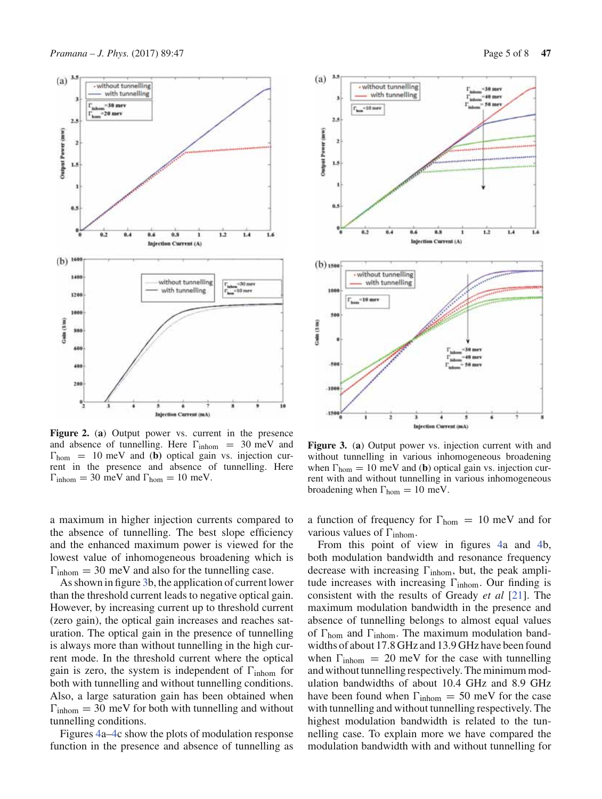

**Figure 2.** (**a**) Output power vs. current in the presence and absence of tunnelling. Here  $\Gamma_{\text{inhom}} = 30 \text{ meV}$  and  $\Gamma_{\text{hom}} = 10 \text{ meV}$  and (**b**) optical gain vs. injection current in the presence and absence of tunnelling. Here  $\Gamma_{\text{inhom}} = 30 \text{ meV}$  and  $\Gamma_{\text{hom}} = 10 \text{ meV}$ .

a maximum in higher injection currents compared to the absence of tunnelling. The best slope efficiency and the enhanced maximum power is viewed for the lowest value of inhomogeneous broadening which is  $\Gamma_{\text{inhom}} = 30 \text{ meV}$  and also for the tunnelling case.

As shown in figure 3b, the application of current lower than the threshold current leads to negative optical gain. However, by increasing current up to threshold current (zero gain), the optical gain increases and reaches saturation. The optical gain in the presence of tunnelling is always more than without tunnelling in the high current mode. In the threshold current where the optical gain is zero, the system is independent of  $\Gamma_{\text{inhom}}$  for both with tunnelling and without tunnelling conditions. Also, a large saturation gain has been obtained when  $\Gamma_{\text{inhom}} = 30 \text{ meV}$  for both with tunnelling and without tunnelling conditions.

Figures 4a–4c show the plots of modulation response function in the presence and absence of tunnelling as



**Figure 3.** (**a**) Output power vs. injection current with and without tunnelling in various inhomogeneous broadening when  $\Gamma_{\text{hom}} = 10 \text{ meV}$  and (**b**) optical gain vs. injection current with and without tunnelling in various inhomogeneous broadening when  $\Gamma_{\text{hom}} = 10 \text{ meV}$ .

a function of frequency for  $\Gamma_{\text{hom}} = 10 \text{ meV}$  and for various values of  $\Gamma_{\text{inhom}}$ .

From this point of view in figures 4a and 4b, both modulation bandwidth and resonance frequency decrease with increasing  $\Gamma$ <sub>inhom</sub>, but, the peak amplitude increases with increasing  $\Gamma_{\text{inhom}}$ . Our finding is consistent with the results of Gready *et al* [21]. The maximum modulation bandwidth in the presence and absence of tunnelling belongs to almost equal values of  $\Gamma_{\text{hom}}$  and  $\Gamma_{\text{inhom}}$ . The maximum modulation bandwidths of about 17.8 GHz and 13.9 GHz have been found when  $\Gamma_{\text{inhom}} = 20 \text{ meV}$  for the case with tunnelling and without tunnelling respectively. The minimum modulation bandwidths of about 10.4 GHz and 8.9 GHz have been found when  $\Gamma_{\text{inhom}} = 50 \text{ meV}$  for the case with tunnelling and without tunnelling respectively. The highest modulation bandwidth is related to the tunnelling case. To explain more we have compared the modulation bandwidth with and without tunnelling for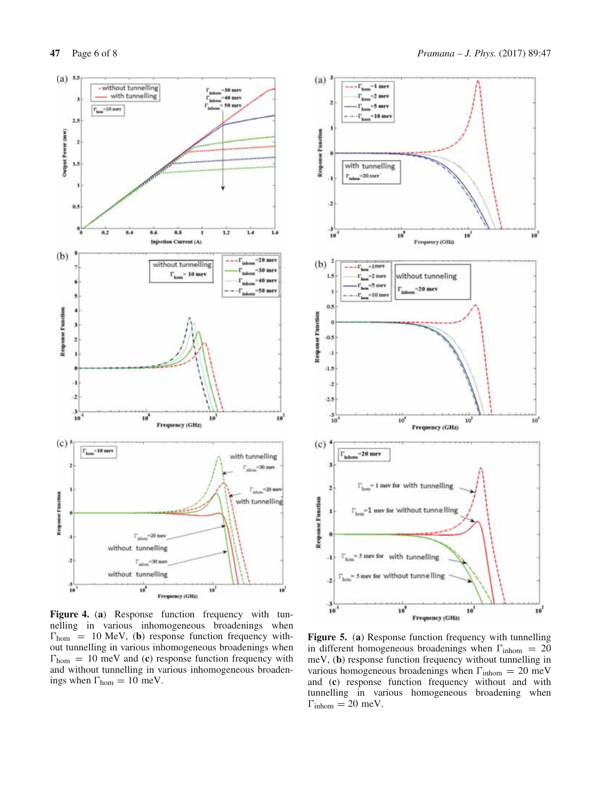

**Figure 4.** (**a**) Response function frequency with tunnelling in various inhomogeneous broadenings when  $\Gamma_{\text{hom}} = 10 \text{ MeV}$ , (**b**) response function frequency without tunnelling in various inhomogeneous broadenings when  $\Gamma_{\text{hom}} = 10 \text{ meV}$  and (**c**) response function frequency with and without tunnelling in various inhomogeneous broadenings when  $\Gamma_{\text{hom}} = 10 \text{ meV}.$ 



**Figure 5.** (**a**) Response function frequency with tunnelling in different homogeneous broadenings when  $\Gamma_{\text{inhom}} = 20$ meV, (**b**) response function frequency without tunnelling in various homogeneous broadenings when  $\Gamma_{\text{inhom}} = 20 \text{ meV}$ and (**c**) response function frequency without and with tunnelling in various homogeneous broadening when  $\Gamma_{\text{inhom}} = 20 \text{ meV}.$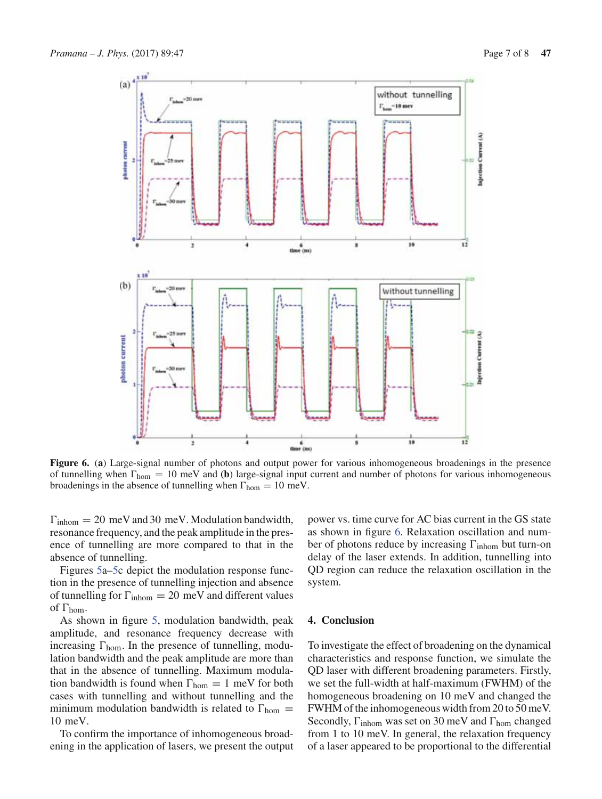

**Figure 6.** (**a**) Large-signal number of photons and output power for various inhomogeneous broadenings in the presence of tunnelling when  $\Gamma_{\text{hom}} = 10 \text{ meV}$  and **(b)** large-signal input current and number of photons for various inhomogeneous broadenings in the absence of tunnelling when  $\Gamma_{\text{hom}} = 10 \text{ meV}$ .

 $\Gamma_{\text{inhom}} = 20 \text{ meV}$  and 30 meV. Modulation bandwidth, resonance frequency, and the peak amplitude in the presence of tunnelling are more compared to that in the absence of tunnelling.

Figures 5a–5c depict the modulation response function in the presence of tunnelling injection and absence of tunnelling for  $\Gamma_{\text{inhom}} = 20 \text{ meV}$  and different values of  $\Gamma_{\text{hom}}$ .

As shown in figure 5, modulation bandwidth, peak amplitude, and resonance frequency decrease with increasing  $\Gamma_{\text{hom}}$ . In the presence of tunnelling, modulation bandwidth and the peak amplitude are more than that in the absence of tunnelling. Maximum modulation bandwidth is found when  $\Gamma_{\text{hom}} = 1$  meV for both cases with tunnelling and without tunnelling and the minimum modulation bandwidth is related to  $\Gamma_{\text{hom}} =$ 10 meV.

To confirm the importance of inhomogeneous broadening in the application of lasers, we present the output power vs. time curve for AC bias current in the GS state as shown in figure 6. Relaxation oscillation and number of photons reduce by increasing  $\Gamma_{\rm inhom}$  but turn-on delay of the laser extends. In addition, tunnelling into QD region can reduce the relaxation oscillation in the system.

### **4. Conclusion**

To investigate the effect of broadening on the dynamical characteristics and response function, we simulate the QD laser with different broadening parameters. Firstly, we set the full-width at half-maximum (FWHM) of the homogeneous broadening on 10 meV and changed the FWHM of the inhomogeneous width from 20 to 50 meV. Secondly,  $\Gamma$ <sub>inhom</sub> was set on 30 meV and  $\Gamma$ <sub>hom</sub> changed from 1 to 10 meV. In general, the relaxation frequency of a laser appeared to be proportional to the differential